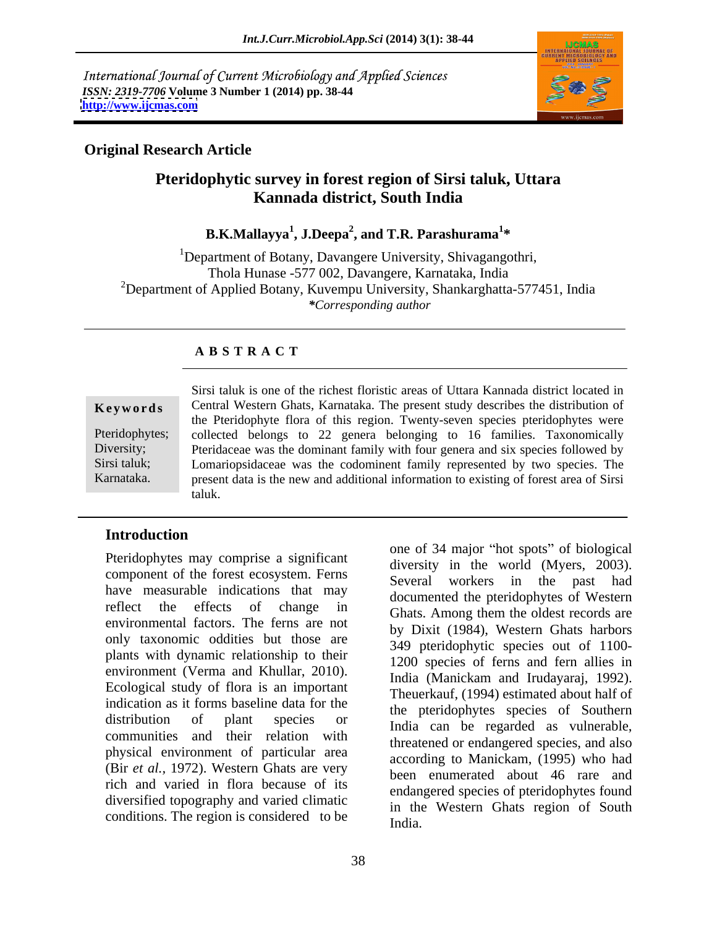International Journal of Current Microbiology and Applied Sciences *ISSN: 2319-7706* **Volume 3 Number 1 (2014) pp. 38-44 <http://www.ijcmas.com>**



## **Original Research Article**

## **Pteridophytic survey in forest region of Sirsi taluk, Uttara Kannada district, South India**

**B.K.Mallayya<sup>1</sup> , J.Deepa<sup>2</sup> , and T.R. Parashurama<sup>1</sup> \***

<sup>1</sup>Department of Botany, Davangere University, Shivagangothri, Thola Hunase -577 002, Davangere, Karnataka, India <sup>2</sup>Department of Applied Botany, Kuvempu University, Shankarghatta-577451, India *\*Corresponding author* 

### **A B S T R A C T**

**Keywords** Central Western Ghats, Karnataka. The present study describes the distribution of Pteridophytes; collected belongs to 22 genera belonging to 16 families. Taxonomically Diversity; Pteridaceae was the dominant family with four genera and six species followed by Sirsi taluk; Lomariopsidaceae was the codominent family represented by two species. The Karnataka. present data is the new and additional information to existing of forest area of Sirsi Sirsi taluk is one of the richest floristic areas of Uttara Kannada district located in the Pteridophyte flora of this region. Twenty-seven species pteridophytes were taluk.

## **Introduction**

Pteridophytes may comprise a significant component of the forest ecosystem. Ferns have measurable indications that may reflect the effects of change in Ghats. Among them the oldest records are environmental factors. The ferns are not only taxonomic oddities but those are plants with dynamic relationship to their environment (Verma and Khullar, 2010). Ecological study of flora is an important indication as it forms baseline data for the distribution of plant species or  $\frac{d}{dx}$  india can be regarded as vulnerable, communities and their relation with physical environment of particular area (Bir *et al.,* 1972). Western Ghats are very rich and varied in flora because of its diversified topography and varied climatic conditions. The region is considered to be  $\frac{m}{\text{India}}$ .

one of 34 major "hot spots" of biological diversity in the world (Myers, 2003). Several workers in the past had documented the pteridophytes of Western by Dixit (1984), Western Ghats harbors 349 pteridophytic species out of 1100- 1200 species of ferns and fern allies in India (Manickam and Irudayaraj, 1992). Theuerkauf, (1994) estimated about half of the pteridophytes species of Southern threatened or endangered species, and also according to Manickam, (1995) who had been enumerated about 46 rare and endangered species of pteridophytes found in the Western Ghats region of South India.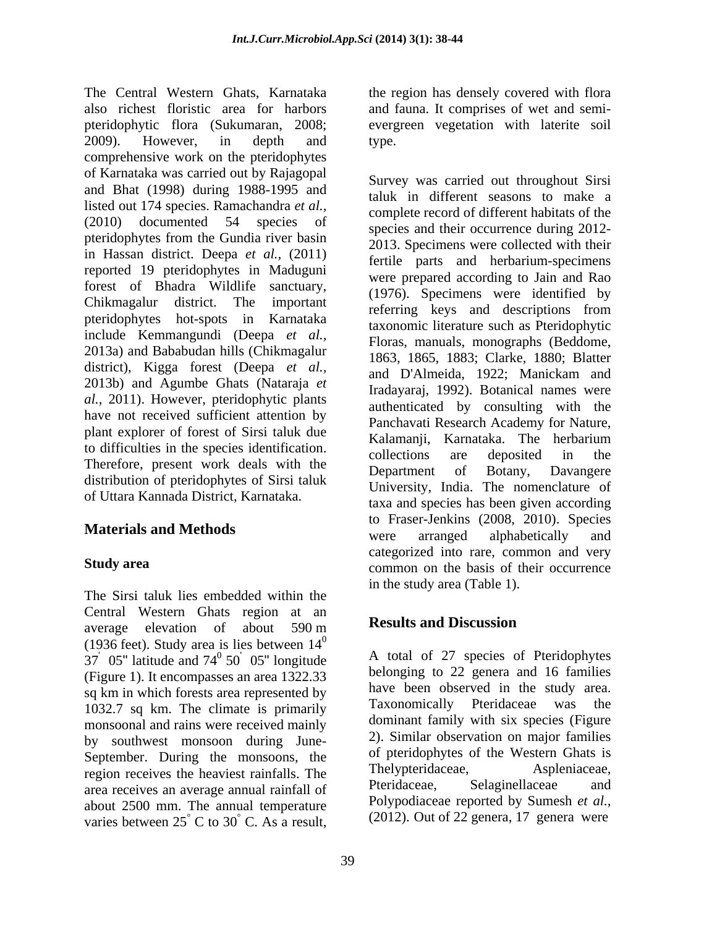The Central Western Ghats, Karnataka the region has densely covered with flora also richest floristic area for harbors and fauna. It comprises of wet and semi pteridophytic flora (Sukumaran, 2008; evergreen vegetation with laterite soil 2009). However, in depth and comprehensive work on the pteridophytes of Karnataka was carried out by Rajagopal and Bhat (1998) during 1988-1995 and listed out 174 species. Ramachandra *et al.,*  $(2010)$  documented 54 species of  $\frac{\text{complex}}{\text{species and their occurrence during }2012}$ pteridophytes from the Gundia river basin in Hassan district. Deepa *et al.,* (2011) reported 19 pteridophytes in Maduguni forest of Bhadra Wildlife sanctuary, Chikmagalur district. The important referring keys and descriptions from pteridophytes hot-spots in Karnataka include Kemmangundi (Deepa *et al.,* 2013a) and Bababudan hills (Chikmagalur district), Kigga forest (Deepa *et al.,* 2013b) and Agumbe Ghats (Nataraja *et al.,* 2011). However, pteridophytic plants have not received sufficient attention by plant explorer of forest of Sirsi taluk due<br>
Kalamanii, Karnataka. The herbarium to difficulties in the species identification.<br>collections are deposited in the Therefore, present work deals with the Department of Botany, Davangere distribution of pteridophytes of Sirsi taluk of Uttara Kannada District, Karnataka.

The Sirsi taluk lies embedded within the Central Western Ghats region at an<br>
suggested about 500 m Results and Discussion average elevation of about  $590 \text{ m}$  **Results and Discussion** (1936 feet). Study area is lies between  $14<sup>0</sup>$  $\overline{0}$ (Figure 1). It encompasses an area 1322.33 sq km in which forests area represented by have been observed in the study area.<br>1022.7 sq km. The elimete is primarily Taxonomically Pteridaceae was the 1032.7 sq km. The climate is primarily monsoonal and rains were received mainly by southwest monsoon during June- September. During the monsoons, the of previous of the western Ghats is<br>region requires the heaviest rejugile. The Thelypteridaceae. Aspleniaceae. region receives the heaviest rainfalls. The Thelypteridaceae, Asplemaceae, and receives an average annual rainfall of Pteridaceae, Selaginellaceae and area receives an average annual rainfall of about 2500 mm. The annual temperature varies between  $25^{\circ}$  C to  $30^{\circ}$  C. As a result,

type.

**Materials and Methods** were arranged alphabetically and Study area Survey was carried out throughout Sirsi taluk in different seasons to make a complete record of different habitats of the species and their occurrence during 2012- 2013. Specimens were collected with their fertile parts and herbarium-specimens were prepared according to Jain and Rao (1976). Specimens were identified by referring keys and descriptions from taxonomic literature such as Pteridophytic Floras, manuals, monographs (Beddome, 1863, 1865, 1883; Clarke, 1880; Blatter and D'Almeida, 1922; Manickam and Iradayaraj, 1992). Botanical names were authenticated by consulting with the Panchavati Research Academy for Nature, Kalamanji, Karnataka. The herbarium collections are deposited in the Department of Botany, Davangere University, India. The nomenclature of taxa and species has been given according to Fraser-Jenkins (2008, 2010). Species were arranged alphabetically and categorized into rare, common and very in the study area (Table 1).

# **Results and Discussion**

 $37'$  05" latitude and  $74^{\circ}$  50<sup>'</sup> 05" longitude A total of 27 species of Pteridophytes <sup>0</sup> 50<sup>'</sup> 05" longitude A total of 27 species of Pteridophytes  $^{\circ}$  C to 30 $^{\circ}$  C. As a result, (2012). Out of 22 genera, 17 genera were  $\degree$  C. As a result, (2012). Out of 22 genera, 17 genera were belonging to 22 genera and 16 families have been observed in the study area. Taxonomically Pteridaceae dominant family with six species (Figure 2). Similar observation on major families of pteridophytes of the Western Ghats is Thelypteridaceae. Pteridaceae, Selaginellaceae and Polypodiaceae reported by Sumesh *et al.,*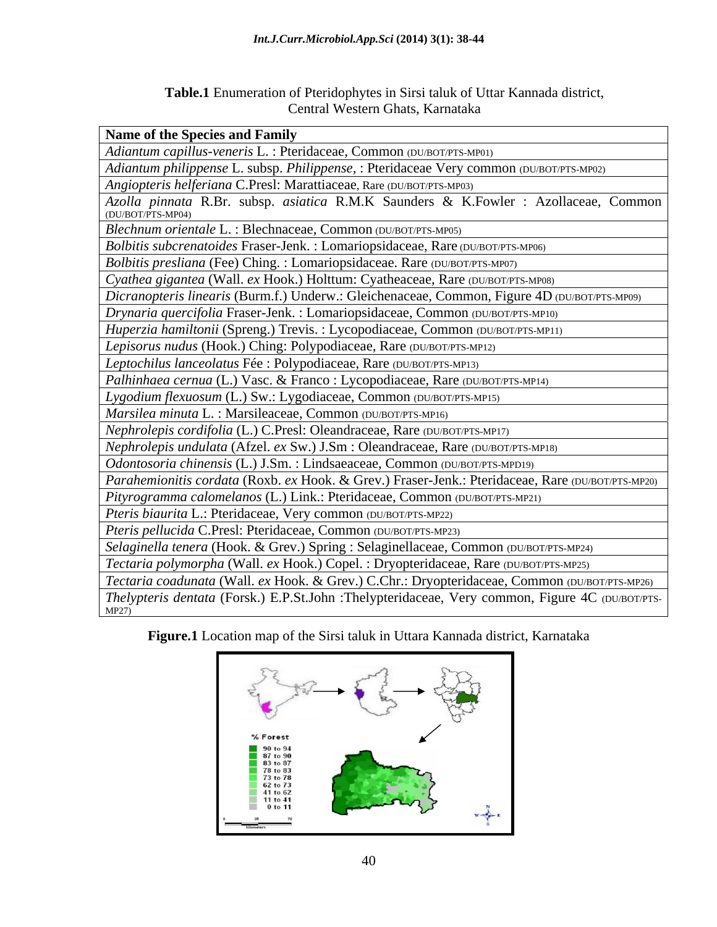| Table.1 En<br>$C$ T T.<br>enumeration of Pteridophytes in Sirsi taluk of Uttar Kannada district, |  |
|--------------------------------------------------------------------------------------------------|--|
| $T$ where $T$<br>$\sim$<br>, Karnataka<br>Western Ghats.<br>$\sim$ ntro<br>$\sim$ nuai           |  |

| <b>Name of the Species and Family</b>                                                                    |
|----------------------------------------------------------------------------------------------------------|
| Adiantum capillus-veneris L.: Pteridaceae, Common (DU/BOT/PTS-MP01)                                      |
| Adiantum philippense L. subsp. Philippense, : Pteridaceae Very common (DU/BOT/PTS-MP02)                  |
| Angiopteris helferiana C.Presl: Marattiaceae, Rare (DU/BOT/PTS-MP03)                                     |
| Azolla pinnata R.Br. subsp. asiatica R.M.K Saunders & K.Fowler : Azollaceae, Common<br>(DU/BOT/PTS-MP04) |
| Blechnum orientale L.: Blechnaceae, Common (DU/BOT/PTS-MP05)                                             |
| Bolbitis subcrenatoides Fraser-Jenk. : Lomariopsidaceae, Rare (DU/BOT/PTS-MP06)                          |
| Bolbitis presliana (Fee) Ching.: Lomariopsidaceae. Rare (DU/BOT/PTS-MP07)                                |
| Cyathea gigantea (Wall. ex Hook.) Holttum: Cyatheaceae, Rare (DU/BOT/PTS-MP08)                           |
| Dicranopteris linearis (Burm.f.) Underw.: Gleichenaceae, Common, Figure 4D (DU/BOT/PTS-MP09)             |
| Drynaria quercifolia Fraser-Jenk. : Lomariopsidaceae, Common (DU/BOT/PTS-MP10)                           |
| Huperzia hamiltonii (Spreng.) Trevis.: Lycopodiaceae, Common (DU/BOT/PTS-MP11)                           |
| Lepisorus nudus (Hook.) Ching: Polypodiaceae, Rare (DU/BOT/PTS-MP12)                                     |
| Leptochilus lanceolatus Fée : Polypodiaceae, Rare (DU/BOT/PTS-MP13)                                      |
| Palhinhaea cernua (L.) Vasc. & Franco : Lycopodiaceae, Rare (DU/BOT/PTS-MP14)                            |
| Lygodium flexuosum (L.) Sw.: Lygodiaceae, Common (DU/BOT/PTS-MP15)                                       |
| Marsilea minuta L.: Marsileaceae, Common (DU/BOT/PTS-MP16)                                               |
| Nephrolepis cordifolia (L.) C.Presl: Oleandraceae, Rare (DU/BOT/PTS-MP17)                                |
| Nephrolepis undulata (Afzel. ex Sw.) J.Sm: Oleandraceae, Rare (DU/BOT/PTS-MP18)                          |
| Odontosoria chinensis (L.) J.Sm. : Lindsaeaceae, Common (DU/BOT/PTS-MPD19)                               |
| Parahemionitis cordata (Roxb. ex Hook. & Grev.) Fraser-Jenk.: Pteridaceae, Rare (DU/BOT/PTS-MP20)        |
| Pityrogramma calomelanos (L.) Link.: Pteridaceae, Common (DU/BOT/PTS-MP21)                               |
| Pteris biaurita L.: Pteridaceae, Very common (DU/BOT/PTS-MP22)                                           |
| Pteris pellucida C.Presl: Pteridaceae, Common (DU/BOT/PTS-MP23)                                          |
| Selaginella tenera (Hook. & Grev.) Spring : Selaginellaceae, Common (DU/BOT/PTS-MP24)                    |
| Tectaria polymorpha (Wall. ex Hook.) Copel. : Dryopteridaceae, Rare (DU/BOT/PTS-MP25)                    |
| Tectaria coadunata (Wall. ex Hook. & Grev.) C.Chr.: Dryopteridaceae, Common (DU/BOT/PTS-MP26)            |
| Thelypteris dentata (Forsk.) E.P.St.John :Thelypteridaceae, Very common, Figure 4C (DU/BOT/PTS-          |

**Figure.1** Location map of the Sirsi taluk in Uttara Kannada district, Karnataka

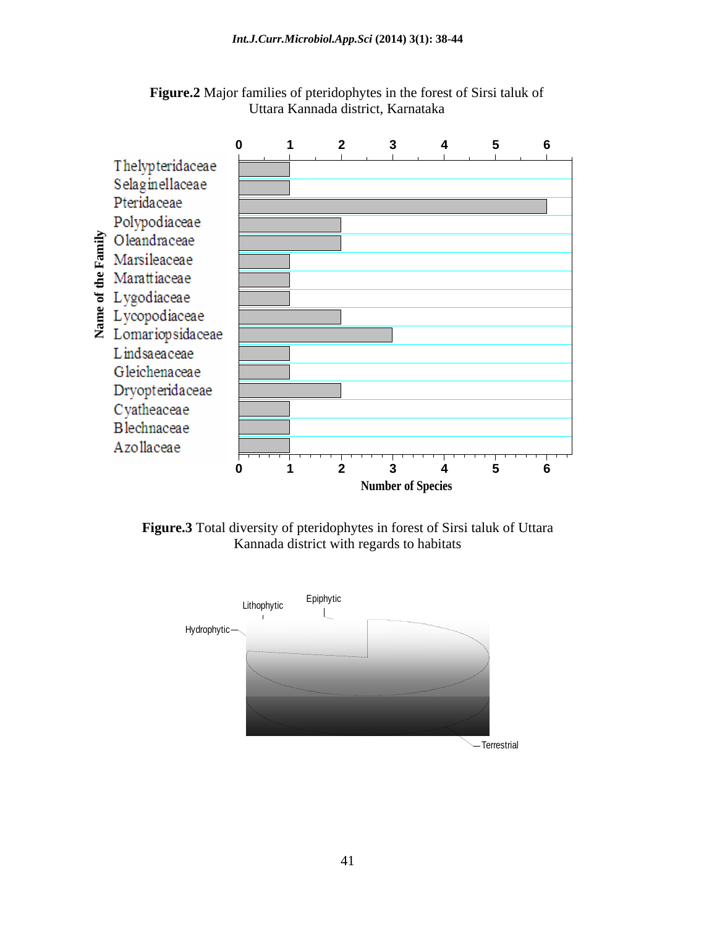

**Figure.2** Major families of pteridophytes in the forest of Sirsi taluk of Uttara Kannada district, Karnataka



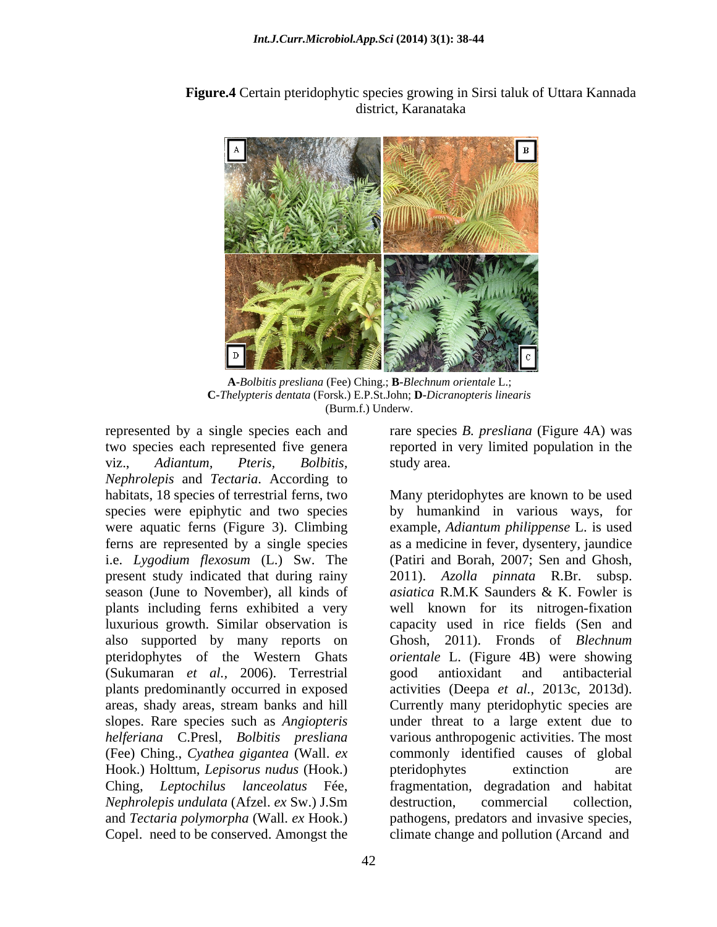**Figure.4** Certain pteridophytic species growing in Sirsi taluk of Uttara Kannada district, Karanataka

**A-***Bolbitis presliana* (Fee) Ching.; **B-***Blechnum orientale* L.; **C-***Thelypteris dentata* (Forsk.) E.P.St.John; **D-***Dicranopteris linearis* (Burm.f.) Underw.

two species each represented five genera reported in very limited population in the viz., *Adiantum, Pteris, Bolbitis, Nephrolepis* and *Tectaria*. According to present study indicated that during rainy (Sukumaran *et al.,* 2006). Terrestrial Hook.) Holttum, *Lepisorus nudus* (Hook.)

represented by a single species each and rare species *B. presliana* (Figure 4A) was study area.

habitats, 18 species of terrestrial ferns, two Many pteridophytes are known to be used species were epiphytic and two species by humankind in various ways, for were aquatic ferns (Figure 3). Climbing example, *Adiantum philippense* L. is used ferns are represented by a single species as a medicine in fever, dysentery, jaundice i.e. *Lygodium flexosum* (L.) Sw. The (Patiri and Borah, 2007; Sen and Ghosh, season (June to November), all kinds of *asiatica* R.M.K Saunders & K. Fowler is plants including ferns exhibited a very well known for its nitrogen-fixation luxurious growth. Similar observation is capacity used in rice fields (Sen and also supported by many reports on Ghosh, 2011). Fronds of *Blechnum*  pteridophytes of the Western Ghats *orientale* L. (Figure 4B) were showing plants predominantly occurred in exposed activities (Deepa *et al.,* 2013c, 2013d). areas, shady areas, stream banks and hill Currently many pteridophytic species are slopes. Rare species such as *Angiopteris* under threat to a large extent due to *helferiana* C.Presl, *Bolbitis presliana* various anthropogenic activities. The most (Fee) Ching., *Cyathea gigantea* (Wall. *ex* commonly identified causes of global Ching, *Leptochilus lanceolatus* Fée, fragmentation, degradation and habitat *Nephrolepis undulata* (Afzel. *ex* Sw.) J.Sm and *Tectaria polymorpha* (Wall. *ex* Hook.) pathogens, predators and invasive species, Copel. need to be conserved. Amongst the climate change and pollution (Arcand and 2011). *Azolla pinnata* R.Br. subsp. good antioxidant and antibacterial pteridophytes extinction are destruction, commercial collection,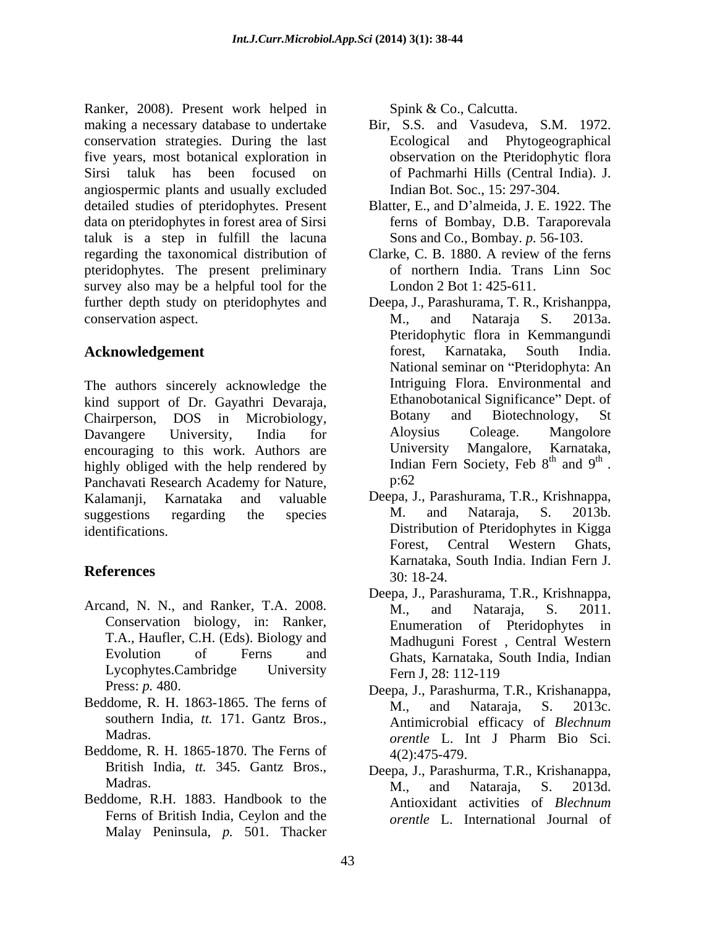Ranker, 2008). Present work helped in making a necessary database to undertake Bir, S.S. and Vasudeva, S.M. 1972. conservation strategies. During the last five years, most botanical exploration in Sirsi taluk has been focused on of Pachmarhi Hills (Central India). J. angiospermic plants and usually excluded detailed studies of pteridophytes. Present data on pteridophytes in forest area of Sirsi taluk is a step in fulfill the lacuna regarding the taxonomical distribution of Clarke, C. B. 1880. A review of the ferns pteridophytes. The present preliminary survey also may be a helpful tool for the further depth study on pteridophytes and Deepa, J., Parashurama, T. R., Krishanppa, conservation aspect. N., and Nataraja S. 2013a.

The authors sincerely acknowledge the kind support of Dr. Gayathri Devaraja,<br>
Chairnerson DOS in Microbiology, Botany and Biotechnology, Chairperson, DOS in Microbiology, Botany and Biotechnology, St Davangere University, India for Aloysius Coleage. Mangolore encouraging to this work. Authors are **University Mangalore**, Karnataka, highly obliged with the help rendered by lindia<br>Panchavati Research Academy for Nature p:62 Panchavati Research Academy for Nature, Kalamanji, Karnataka and valuable Deepa, J., Parashurama, T.R., Krishnappa, suggestions regarding the species M. and Nataraja, S. 2013b.

- Arcand, N. N., and Ranker, T.A. 2008. M., and Nataraja, S. 2011. T.A., Haufler, C.H. (Eds). Biology and
- Beddome, R. H. 1863-1865. The ferns of  $M_{11}$  and Nataraja, S. 2013c. southern India, *tt.* 171. Gantz Bros.,
- Beddome, R. H. 1865-1870. The Ferns of 4(2):475-479. British India, *tt.* 345. Gantz Bros.,
- Beddome, R.H. 1883. Handbook to the Ferns of British India, Ceylon and the Malay Peninsula, *p.* 501. Thacker

Spink & Co., Calcutta.

- Ecological and Phytogeographical observation on the Pteridophytic flora Indian Bot. Soc., 15: 297-304.
- Blatter, E., and D'almeida, J. E. 1922. The ferns of Bombay, D.B. Taraporevala Sons and Co., Bombay. *p.* 56-103.
- of northern India. Trans Linn Soc London 2 Bot 1: 425-611.
- Acknowledgement **Acknowledgement** forest, Karnataka, South India. M., and Nataraja S. 2013a. Pteridophytic flora in Kemmangundi forest, Karnataka, South India. National seminar on "Pteridophyta: An Intriguing Flora. Environmental and Ethanobotanical Significance" Dept. of Botany and Biotechnology, St Aloysius Coleage. Mangolore University Mangalore, Karnataka, Indian Fern Society, Feb 8<sup>th</sup> and 9<sup>th</sup>.  $th$  and  $0^{th}$ and  $9<sup>th</sup>$ . the contract of the contract of the contract of the contract of the contract of the contract of the contract of the contract of the contract of the contract of the contract of the contract of the contract of the contract o Indian Fern Society, Feb  $8^{\text{th}}$  and  $9^{\text{th}}$ .<br>p:62
- identifications. Distribution of Pteridophytes in Kigga **References** 30: 18-24 M. and Nataraja, S. 2013b. Forest, Central Western Ghats, Karnataka, South India. Indian Fern J. 30: 18-24.
	- Conservation biology, in: Ranker, Evolution of Ferns and Ghats, Karnataka, South India, Indian Lycophytes.Cambridge University Fern J. 28: 112-119 Deepa, J., Parashurama, T.R., Krishnappa, M., and Nataraja, S. 2011. Enumeration of Pteridophytes Madhuguni Forest , Central Western Fern J, 28: 112-119
	- Press: *p.* 480. **Deepa, J., Parashurma, T.R., Krishanappa,** Madras. Madras. The method of the Madras. The Madras. The Madras. The Madras. The Madras. The Madras. The Madras. The Madras. The Madras. The Madras. The Madras. The Madras. The Madras. The Madras. The Madras. The Madras. M., and Nataraja, S. 2013c. Antimicrobial efficacy of *Blechnum orentle* L. Int J Pharm Bio Sci. 4(2):475-479.
	- Madras. M. and Nataraia. S. 2013d. Deepa, J., Parashurma, T.R., Krishanappa, M., and Nataraja, S. 2013d. Antioxidant activities of *Blechnum orentle* L. International Journal of